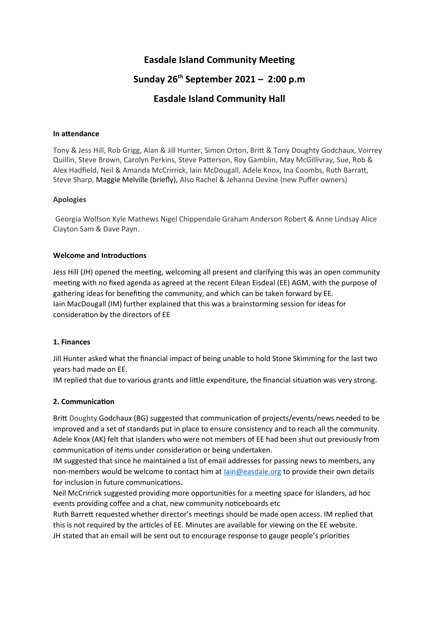# **Easdale Island Community Meeting**

# **Sunday 26th September 2021 – 2:00 p.m**

# **Easdale Island Community Hall**

### **In attendance**

Tony & Jess Hill, Rob Grigg, Alan & Jill Hunter, Simon Orton, Brit & Tony Doughty Godchaux, Voirrey Quillin, Steve Brown, Carolyn Perkins, Steve Paterson, Roy Gamblin, May McGillivray, Sue, Rob & Alex Hadfeld, Neil & Amanda McCrirrick, Iain McDougall, Adele Knox, Ina Coombs, Ruth Barrat, Steve Sharp, Maggie Melville (briefly), Also Rachel & Jehanna Devine (new Puffer owners)

### **Apologies**

Georgia Wolfson Kyle Mathews Nigel Chippendale Graham Anderson Robert & Anne Lindsay Alice Clayton Sam & Dave Payn.

### **Welcome and Introductions**

Jess Hill (JH) opened the meeting, welcoming all present and clarifying this was an open community meeting with no fixed agenda as agreed at the recent Eilean Eisdeal (EE) AGM, with the purpose of gathering ideas for benefiting the community, and which can be taken forward by EE. Iain MacDougall (IM) further explained that this was a brainstorming session for ideas for consideration by the directors of EE

## **1. Finances**

Jill Hunter asked what the fnancial impact of being unable to hold Stone Skimming for the last two years had made on EE.

IM replied that due to various grants and little expenditure, the financial situation was very strong.

## **2. Communication**

Britt Doughty Godchaux (BG) suggested that communication of projects/events/news needed to be improved and a set of standards put in place to ensure consistency and to reach all the community. Adele Knox (AK) felt that islanders who were not members of EE had been shut out previously from communication of items under consideration or being undertaken.

IM suggested that since he maintained a list of email addresses for passing news to members, any non-members would be welcome to contact him at lain@easdale.org to provide their own details for inclusion in future communications.

Neil McCrirrick suggested providing more opportunites for a meetng space for islanders, ad hoc events providing coffee and a chat, new community noticeboards etc

Ruth Barrett requested whether director's meetings should be made open access. IM replied that this is not required by the articles of EE. Minutes are available for viewing on the EE website.

JH stated that an email will be sent out to encourage response to gauge people's priorites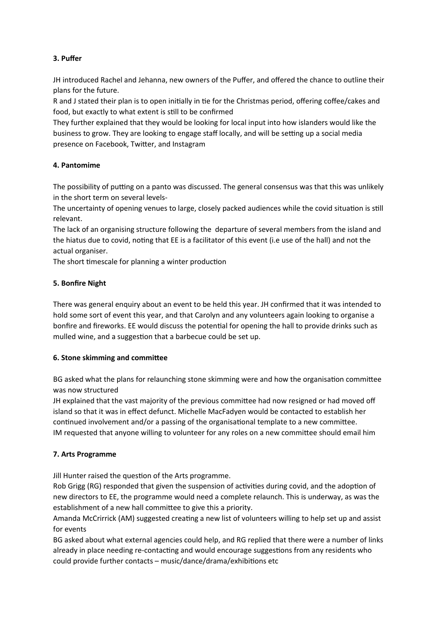## **3. Puffer**

JH introduced Rachel and Jehanna, new owners of the Pufer, and ofered the chance to outline their plans for the future.

R and J stated their plan is to open initially in tie for the Christmas period, offering coffee/cakes and food, but exactly to what extent is still to be confirmed

They further explained that they would be looking for local input into how islanders would like the business to grow. They are looking to engage staff locally, and will be setting up a social media presence on Facebook, Twiter, and Instagram

## **4. Pantomime**

The possibility of putting on a panto was discussed. The general consensus was that this was unlikely in the short term on several levels-

The uncertainty of opening venues to large, closely packed audiences while the covid situaton is stll relevant.

The lack of an organising structure following the departure of several members from the island and the hiatus due to covid, noting that EE is a facilitator of this event (i.e use of the hall) and not the actual organiser.

The short timescale for planning a winter production

# **5. Bonfire Night**

There was general enquiry about an event to be held this year. JH confirmed that it was intended to hold some sort of event this year, and that Carolyn and any volunteers again looking to organise a bonfire and fireworks. EE would discuss the potential for opening the hall to provide drinks such as mulled wine, and a suggestion that a barbecue could be set up.

## **6. Stone skimming and committee**

BG asked what the plans for relaunching stone skimming were and how the organisaton commitee was now structured

JH explained that the vast majority of the previous commitee had now resigned or had moved of island so that it was in efect defunct. Michelle MacFadyen would be contacted to establish her continued involvement and/or a passing of the organisational template to a new committee. IM requested that anyone willing to volunteer for any roles on a new committee should email him

## **7. Arts Programme**

Jill Hunter raised the eueston of the Arts programme.

Rob Grigg (RG) responded that given the suspension of activities during covid, and the adoption of new directors to EE, the programme would need a complete relaunch. This is underway, as was the establishment of a new hall commitee to give this a priority.

Amanda McCrirrick (AM) suggested creating a new list of volunteers willing to help set up and assist for events

BG asked about what external agencies could help, and RG replied that there were a number of links already in place needing re-contacting and would encourage suggestions from any residents who could provide further contacts – music/dance/drama/exhibitons etc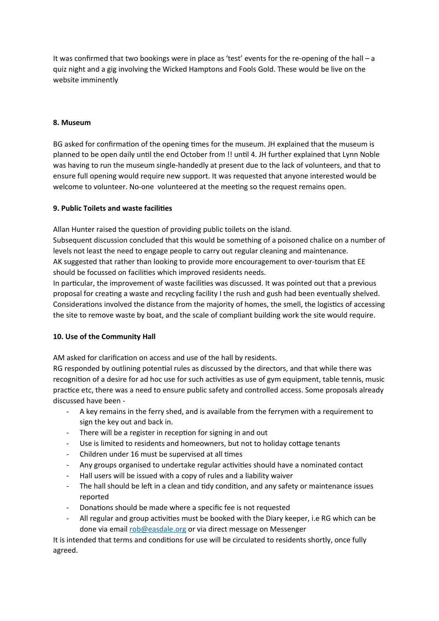It was confrmed that two bookings were in place as 'test' events for the re-opening of the hall – a guiz night and a gig involving the Wicked Hamptons and Fools Gold. These would be live on the website imminently

### **8. Museum**

BG asked for confirmation of the opening times for the museum. JH explained that the museum is planned to be open daily until the end October from !! until 4. JH further explained that Lynn Noble was having to run the museum single-handedly at present due to the lack of volunteers, and that to ensure full opening would require new support. It was requested that anyone interested would be welcome to volunteer. No-one volunteered at the meeting so the request remains open.

### **9. Public Toilets and waste facilites**

Allan Hunter raised the question of providing public toilets on the island.

Subsequent discussion concluded that this would be something of a poisoned chalice on a number of levels not least the need to engage people to carry out regular cleaning and maintenance. AK suggested that rather than looking to provide more encouragement to over-tourism that EE should be focussed on facilites which improved residents needs.

In partcular, the improvement of waste facilites was discussed. It was pointed out that a previous proposal for creating a waste and recycling facility I the rush and gush had been eventually shelved. Considerations involved the distance from the majority of homes, the smell, the logistics of accessing the site to remove waste by boat, and the scale of compliant building work the site would require.

### **10. Use of the Community Hall**

AM asked for clarification on access and use of the hall by residents.

RG responded by outlining potential rules as discussed by the directors, and that while there was recognition of a desire for ad hoc use for such activities as use of gym equipment, table tennis, music practice etc, there was a need to ensure public safety and controlled access. Some proposals already discussed have been -

- A key remains in the ferry shed, and is available from the ferrymen with a requirement to sign the key out and back in.
- There will be a register in reception for signing in and out
- Use is limited to residents and homeowners, but not to holiday cottage tenants
- Children under 16 must be supervised at all times
- Any groups organised to undertake regular actvites should have a nominated contact
- Hall users will be issued with a copy of rules and a liability waiver
- The hall should be left in a clean and tidy condition, and any safety or maintenance issues reported
- Donations should be made where a specific fee is not requested
- All regular and group activities must be booked with the Diary keeper, i.e RG which can be done via email [rob@easdale.org](mailto:rob@easdale.org) or via direct message on Messenger

It is intended that terms and conditons for use will be circulated to residents shortly, once fully agreed.